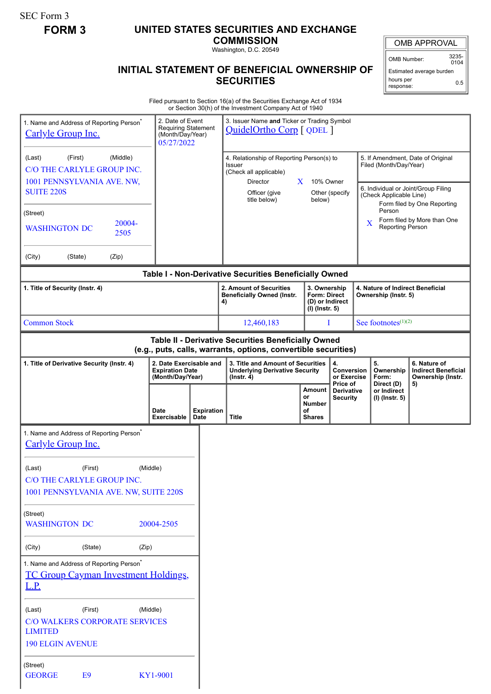SEC Form 3

# **FORM 3 UNITED STATES SECURITIES AND EXCHANGE**

**COMMISSION** Washington, D.C. 20549

## **INITIAL STATEMENT OF BENEFICIAL OWNERSHIP OF SECURITIES**

OMB APPROVAL

OMB Number: 3235-  $0104$ 

Estimated average burden hours per response: 0.5

Filed pursuant to Section 16(a) of the Securities Exchange Act of 1934 or Section 30(h) of the Investment Company Act of 1940

| 1. Name and Address of Reporting Person <sup>®</sup><br>Carlyle Group Inc.                                            | 2. Date of Event<br><b>Requiring Statement</b><br>(Month/Day/Year)<br>05/27/2022 |                                                                    | 3. Issuer Name and Ticker or Trading Symbol<br>QuidelOrtho Corp [ QDEL ]                       |                                                                            |                                |                                                          |   |                                        |                                                                       |  |
|-----------------------------------------------------------------------------------------------------------------------|----------------------------------------------------------------------------------|--------------------------------------------------------------------|------------------------------------------------------------------------------------------------|----------------------------------------------------------------------------|--------------------------------|----------------------------------------------------------|---|----------------------------------------|-----------------------------------------------------------------------|--|
| (Middle)<br>(First)<br>(Last)<br>C/O THE CARLYLE GROUP INC.                                                           |                                                                                  |                                                                    | 4. Relationship of Reporting Person(s) to<br>Issuer                                            |                                                                            |                                |                                                          |   | Filed (Month/Day/Year)                 | 5. If Amendment, Date of Original                                     |  |
| 1001 PENNSYLVANIA AVE. NW,                                                                                            |                                                                                  |                                                                    | (Check all applicable)<br><b>Director</b>                                                      | $\mathbf{X}$                                                               | 10% Owner                      |                                                          |   |                                        |                                                                       |  |
| <b>SUITE 220S</b>                                                                                                     |                                                                                  |                                                                    | Officer (give<br>title below)                                                                  |                                                                            | below)                         | Other (specify                                           |   | (Check Applicable Line)                | 6. Individual or Joint/Group Filing<br>Form filed by One Reporting    |  |
| (Street)                                                                                                              |                                                                                  |                                                                    |                                                                                                |                                                                            |                                |                                                          |   | Person                                 | Form filed by More than One                                           |  |
| 20004-<br><b>WASHINGTON DC</b><br>2505                                                                                |                                                                                  |                                                                    |                                                                                                |                                                                            |                                |                                                          | X | Reporting Person                       |                                                                       |  |
| (City)<br>(State)<br>(Zip)                                                                                            |                                                                                  |                                                                    |                                                                                                |                                                                            |                                |                                                          |   |                                        |                                                                       |  |
| Table I - Non-Derivative Securities Beneficially Owned                                                                |                                                                                  |                                                                    |                                                                                                |                                                                            |                                |                                                          |   |                                        |                                                                       |  |
| 1. Title of Security (Instr. 4)                                                                                       |                                                                                  | 2. Amount of Securities<br><b>Beneficially Owned (Instr.</b><br>4) |                                                                                                | 3. Ownership<br><b>Form: Direct</b><br>(D) or Indirect<br>$(I)$ (Instr. 5) |                                | 4. Nature of Indirect Beneficial<br>Ownership (Instr. 5) |   |                                        |                                                                       |  |
| <b>Common Stock</b>                                                                                                   | I<br>12,460,183                                                                  |                                                                    |                                                                                                | See footnotes $(1)(2)$                                                     |                                |                                                          |   |                                        |                                                                       |  |
| Table II - Derivative Securities Beneficially Owned<br>(e.g., puts, calls, warrants, options, convertible securities) |                                                                                  |                                                                    |                                                                                                |                                                                            |                                |                                                          |   |                                        |                                                                       |  |
| 1. Title of Derivative Security (Instr. 4)                                                                            | 2. Date Exercisable and<br><b>Expiration Date</b><br>(Month/Day/Year)            |                                                                    | 3. Title and Amount of Securities<br><b>Underlying Derivative Security</b><br>$($ lnstr. 4 $)$ |                                                                            |                                | 4.<br>Conversion<br>or Exercise<br>Price of              |   | 5.<br>Ownership<br>Form:<br>Direct (D) | 6. Nature of<br><b>Indirect Beneficial</b><br>Ownership (Instr.<br>5) |  |
|                                                                                                                       |                                                                                  |                                                                    |                                                                                                | or                                                                         | <b>Amount</b>                  | <b>Derivative</b><br><b>Security</b>                     |   | or Indirect<br>(I) (Instr. 5)          |                                                                       |  |
|                                                                                                                       | <b>Date</b><br>Exercisable                                                       | <b>Expiration</b><br>Date                                          | <b>Title</b>                                                                                   | οf                                                                         | <b>Number</b><br><b>Shares</b> |                                                          |   |                                        |                                                                       |  |
| 1. Name and Address of Reporting Person <sup>®</sup><br>Carlyle Group Inc.                                            |                                                                                  |                                                                    |                                                                                                |                                                                            |                                |                                                          |   |                                        |                                                                       |  |
| (First)<br>(Middle)<br>(Last)                                                                                         |                                                                                  |                                                                    |                                                                                                |                                                                            |                                |                                                          |   |                                        |                                                                       |  |
| C/O THE CARLYLE GROUP INC.<br>1001 PENNSYLVANIA AVE. NW, SUITE 220S                                                   |                                                                                  |                                                                    |                                                                                                |                                                                            |                                |                                                          |   |                                        |                                                                       |  |
|                                                                                                                       |                                                                                  |                                                                    |                                                                                                |                                                                            |                                |                                                          |   |                                        |                                                                       |  |
| (Street)<br><b>WASHINGTON DC</b>                                                                                      | 20004-2505                                                                       |                                                                    |                                                                                                |                                                                            |                                |                                                          |   |                                        |                                                                       |  |
| (City)<br>(State)<br>(Zip)                                                                                            |                                                                                  |                                                                    |                                                                                                |                                                                            |                                |                                                          |   |                                        |                                                                       |  |
| 1. Name and Address of Reporting Person <sup>®</sup><br><b>TC Group Cayman Investment Holdings,</b>                   |                                                                                  |                                                                    |                                                                                                |                                                                            |                                |                                                          |   |                                        |                                                                       |  |
| L.P.                                                                                                                  |                                                                                  |                                                                    |                                                                                                |                                                                            |                                |                                                          |   |                                        |                                                                       |  |
| (First)<br>(Middle)<br>(Last)<br><b>C/O WALKERS CORPORATE SERVICES</b><br><b>LIMITED</b>                              |                                                                                  |                                                                    |                                                                                                |                                                                            |                                |                                                          |   |                                        |                                                                       |  |
| <b>190 ELGIN AVENUE</b>                                                                                               |                                                                                  |                                                                    |                                                                                                |                                                                            |                                |                                                          |   |                                        |                                                                       |  |
| (Street)<br><b>GEORGE</b><br>E <sub>9</sub>                                                                           | KY1-9001                                                                         |                                                                    |                                                                                                |                                                                            |                                |                                                          |   |                                        |                                                                       |  |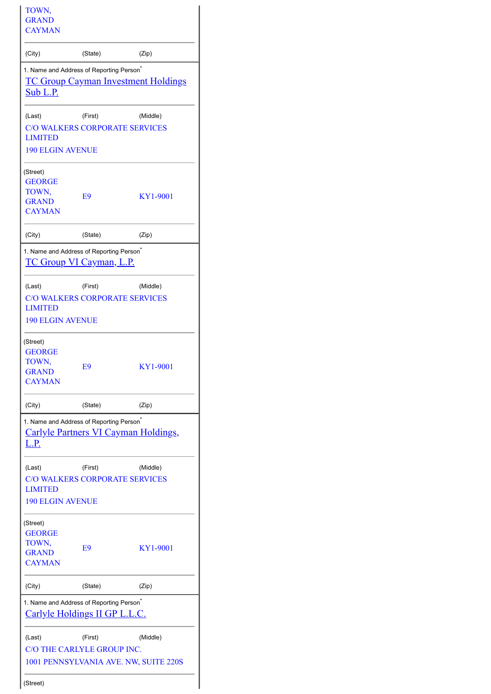| TOWN,<br><b>GRAND</b><br><b>CAYMAN</b>                                                                             |                                                                                         |          |  |  |  |  |  |
|--------------------------------------------------------------------------------------------------------------------|-----------------------------------------------------------------------------------------|----------|--|--|--|--|--|
| (City)                                                                                                             | (State)                                                                                 | (Zip)    |  |  |  |  |  |
| 1. Name and Address of Reporting Person <sup>*</sup><br><u>TC Group Cayman Investment Holdings</u><br>Sub L.P.     |                                                                                         |          |  |  |  |  |  |
| (Last)<br><b>LIMITED</b><br><b>190 ELGIN AVENUE</b>                                                                | (First)<br><b>C/O WALKERS CORPORATE SERVICES</b>                                        | (Middle) |  |  |  |  |  |
| (Street)<br><b>GEORGE</b><br>TOWN,<br><b>GRAND</b><br><b>CAYMAN</b>                                                | E <sub>9</sub>                                                                          | KY1-9001 |  |  |  |  |  |
| (City)                                                                                                             | (State)                                                                                 | (Zip)    |  |  |  |  |  |
|                                                                                                                    | 1. Name and Address of Reporting Person <sup>®</sup><br><b>TC Group VI Cayman, L.P.</b> |          |  |  |  |  |  |
| (Last)<br><b>LIMITED</b><br><b>190 ELGIN AVENUE</b>                                                                | (First)<br><b>C/O WALKERS CORPORATE SERVICES</b>                                        | (Middle) |  |  |  |  |  |
| (Street)<br><b>GEORGE</b><br>TOWN,<br><b>GRAND</b><br><b>CAYMAN</b>                                                | E <sub>9</sub>                                                                          | KY1-9001 |  |  |  |  |  |
| (City)                                                                                                             | (State)                                                                                 | (Zip)    |  |  |  |  |  |
| 1. Name and Address of Reporting Person <sup>*</sup><br><b>Carlyle Partners VI Cayman Holdings,</b><br><u>L.P.</u> |                                                                                         |          |  |  |  |  |  |
| (Last)<br><b>LIMITED</b>                                                                                           | (First)<br><b>C/O WALKERS CORPORATE SERVICES</b>                                        | (Middle) |  |  |  |  |  |
| <b>190 ELGIN AVENUE</b>                                                                                            |                                                                                         |          |  |  |  |  |  |
| (Street)<br>GEORGE<br>TOWN,<br><b>GRAND</b><br><b>CAYMAN</b>                                                       | E9                                                                                      | KY1-9001 |  |  |  |  |  |
| (City)                                                                                                             | (State)                                                                                 | (Zip)    |  |  |  |  |  |
| 1. Name and Address of Reporting Person <sup>®</sup><br><b>Carlyle Holdings II GP L.L.C.</b>                       |                                                                                         |          |  |  |  |  |  |
| (Last)<br>(Street)                                                                                                 | (First)<br>C/O THE CARLYLE GROUP INC.<br>1001 PENNSYLVANIA AVE. NW, SUITE 220S          | (Middle) |  |  |  |  |  |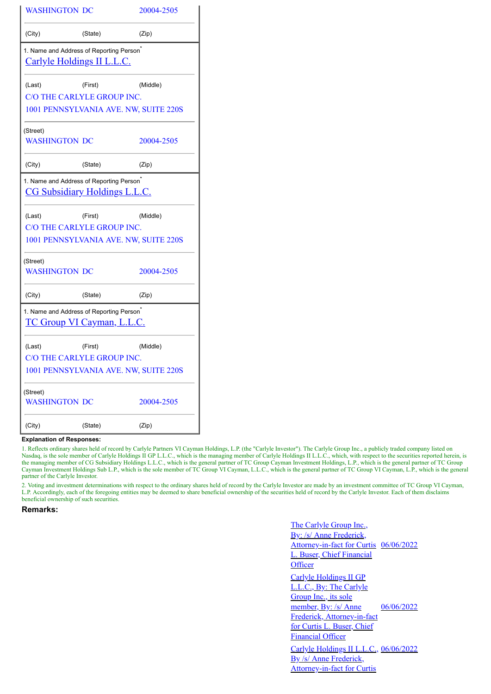| <b>WASHINGTON DC</b>                                                                      |                                       | 20004-2505 |  |  |  |  |  |
|-------------------------------------------------------------------------------------------|---------------------------------------|------------|--|--|--|--|--|
| (City)                                                                                    | (State)                               | (Zip)      |  |  |  |  |  |
| 1. Name and Address of Reporting Person <sup>®</sup><br>Carlyle Holdings II L.L.C.        |                                       |            |  |  |  |  |  |
| (Last)                                                                                    | (First)                               | (Middle)   |  |  |  |  |  |
|                                                                                           | C/O THE CARLYLE GROUP INC.            |            |  |  |  |  |  |
| 1001 PENNSYLVANIA AVE. NW, SUITE 220S                                                     |                                       |            |  |  |  |  |  |
| (Street)<br><b>WASHINGTON DC</b>                                                          |                                       | 20004-2505 |  |  |  |  |  |
| (City)                                                                                    | (State)                               | (Zip)      |  |  |  |  |  |
| 1. Name and Address of Reporting Person <sup>*</sup>                                      | <b>CG Subsidiary Holdings L.L.C.</b>  |            |  |  |  |  |  |
| (Last)                                                                                    | (First)                               | (Middle)   |  |  |  |  |  |
|                                                                                           | C/O THE CARLYLE GROUP INC.            |            |  |  |  |  |  |
|                                                                                           | 1001 PENNSYLVANIA AVE. NW, SUITE 220S |            |  |  |  |  |  |
| (Street)<br><b>WASHINGTON DC</b>                                                          |                                       | 20004-2505 |  |  |  |  |  |
| (City)                                                                                    | (State)                               | (Zip)      |  |  |  |  |  |
| 1. Name and Address of Reporting Person <sup>*</sup><br><u>TC Group VI Cayman, L.L.C.</u> |                                       |            |  |  |  |  |  |
| (Last)                                                                                    | (First)                               | (Middle)   |  |  |  |  |  |
|                                                                                           | C/O THE CARLYLE GROUP INC.            |            |  |  |  |  |  |
|                                                                                           | 1001 PENNSYLVANIA AVE. NW, SUITE 220S |            |  |  |  |  |  |
| (Street)<br><b>WASHINGTON DC</b>                                                          |                                       | 20004-2505 |  |  |  |  |  |
| (City)                                                                                    | (State)                               | (Zip)      |  |  |  |  |  |

### **Explanation of Responses:**

1. Reflects ordinary shares held of record by Carlyle Partners VI Cayman Holdings, L.P. (the "Carlyle Investor"). The Carlyle Group Inc., a publicly traded company listed on Nasdaq, is the sole member of Carlyle Holdings II GP L.L.C., which is the managing member of Carlyle Holdings II L.L.C., which, with respect to the securities reported herein, is the managing member of CG Subsidiary Holdings L.L.C., which is the general partner of TC Group Cayman Investment Holdings, L.P., which is the general partner of TC Group Cayman Investment Holdings Sub L.P., which is the sole member of TC Group VI Cayman, L.L.C., which is the general partner of TC Group VI Cayman, L.P., which is the general partner of the Carlyle Investor.

2. Voting and investment determinations with respect to the ordinary shares held of record by the Carlyle Investor are made by an investment committee of TC Group VI Cayman, L.P. Accordingly, each of the foregoing entities may be deemed to share beneficial ownership of the securities held of record by the Carlyle Investor. Each of them disclaims beneficial ownership of such securities.

## **Remarks:**

The Carlyle Group Inc., By: /s/ Anne Frederick. Attorney-in-fact for Curtis 06/06/2022 **Buser, Chief Financial Officer** Carlyle Holdings II GP L.L.C., By: The Carlyle Group Inc., its sole member, By: /s/ Anne Frederick, Attorney-in-fact for Curtis L. Buser, Chief Financial Officer 06/06/2022 Carlyle Holdings II L.L.C., 06/06/2022 By /s/ Anne Frederick, Attorney-in-fact for Curtis